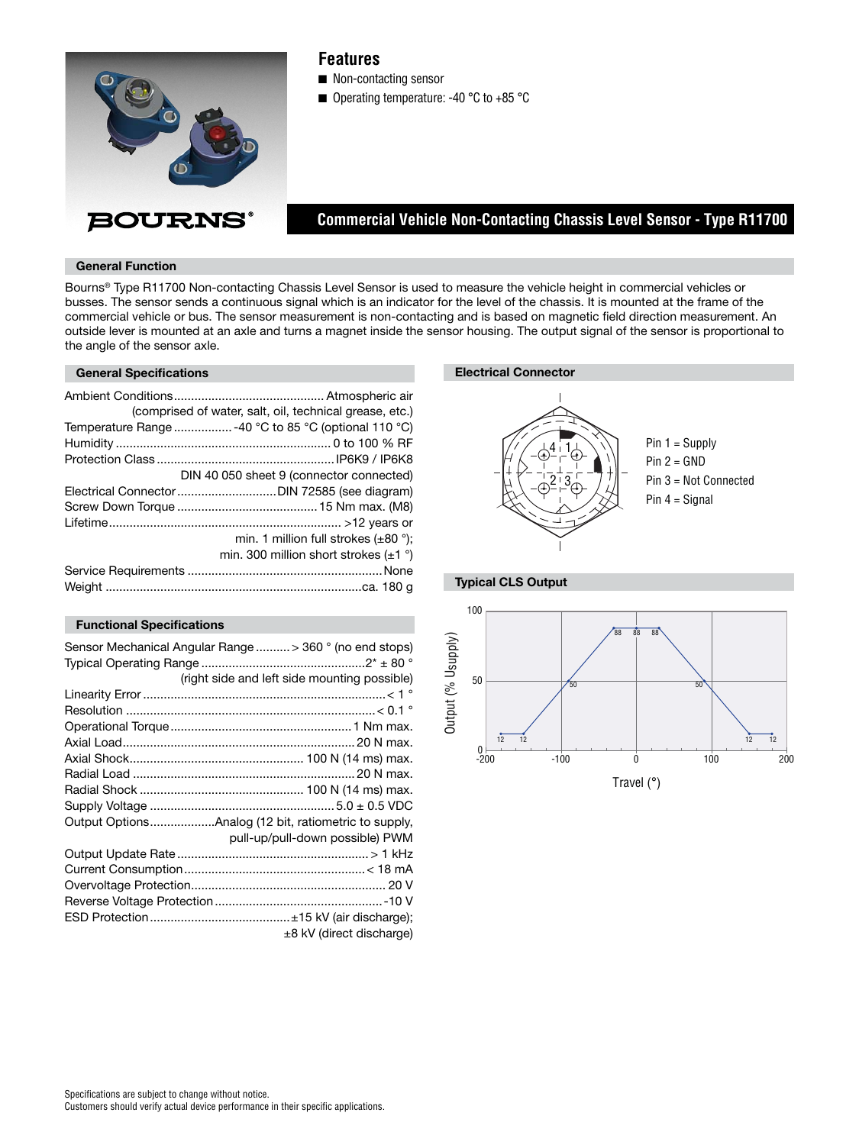

# **Features**

■ Non-contacting sensor

■ Operating temperature: -40 °C to +85 °C

# **Commercial Vehicle Non-Contacting Chassis Level Sensor - Type R11700**

### **General Function**

Bourns® Type R11700 Non-contacting Chassis Level Sensor is used to measure the vehicle height in commercial vehicles or busses. The sensor sends a continuous signal which is an indicator for the level of the chassis. It is mounted at the frame of the commercial vehicle or bus. The sensor measurement is non-contacting and is based on magnetic field direction measurement. An outside lever is mounted at an axle and turns a magnet inside the sensor housing. The output signal of the sensor is proportional to the angle of the sensor axle.

#### **General Specifications**

| (comprised of water, salt, oil, technical grease, etc.) |
|---------------------------------------------------------|
| Temperature Range  -40 °C to 85 °C (optional 110 °C)    |
|                                                         |
|                                                         |
| DIN 40 050 sheet 9 (connector connected)                |
|                                                         |
|                                                         |
|                                                         |
| min. 1 million full strokes $(\pm 80^\circ)$ ;          |
| min. 300 million short strokes $(\pm 1 \degree)$        |
|                                                         |
|                                                         |

## **Functional Specifications**

| Sensor Mechanical Angular Range > 360 ° (no end stops) |                                 |
|--------------------------------------------------------|---------------------------------|
|                                                        |                                 |
| (right side and left side mounting possible)           |                                 |
|                                                        |                                 |
|                                                        |                                 |
|                                                        |                                 |
|                                                        |                                 |
|                                                        |                                 |
|                                                        |                                 |
|                                                        |                                 |
|                                                        |                                 |
| Output OptionsAnalog (12 bit, ratiometric to supply,   |                                 |
|                                                        | pull-up/pull-down possible) PWM |
|                                                        |                                 |
|                                                        |                                 |
|                                                        |                                 |
|                                                        |                                 |
|                                                        |                                 |
|                                                        | ±8 kV (direct discharge)        |